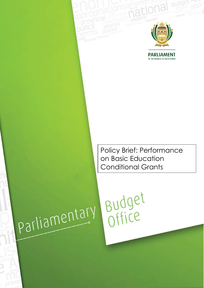

**PARLIAMENT**<br>OF THE REPUBLIC OF SOUTH AFRICA

Policy Brief: Performance on Basic Education Conditional Grants

Budget

parliamentary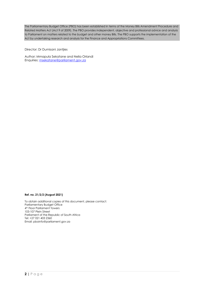The Parliamentary Budget Office (PBO) has been established in terms of the Money Bills Amendment Procedure and Related Matters Act (Act 9 of 2009). The PBO provides independent, objective and professional advice and analysis to Parliament on matters related to the budget and other money Bills. The PBO supports the implementation of the Act by undertaking research and analysis for the Finance and Appropriations Committees.

Director: Dr Dumisani Jantjies

Author: Mmapula Sekatane and Nelia Orlandi Enquiries[: msekatane@parliament.gov.za](mailto:msekatane@parliament.gov.za)

#### **Ref. no. 21/2/2 (August 2021)**

To obtain additional copies of this document, please contact: Parliamentary Budget Office 4th Floor Parliament Towers 103-107 Plein Street Parliament of the Republic of South Africa Tel: +27 021 403 2360 Email: [pboinfo@parliament.gov.za](mailto:pboinfo@parliament.gov.za)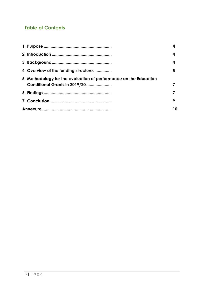# **Table of Contents**

|                                                                                                    | 4  |
|----------------------------------------------------------------------------------------------------|----|
|                                                                                                    | 4  |
| 4. Overview of the funding structure                                                               | 5  |
| 5. Methodology for the evaluation of performance on the Education<br>Conditional Grants in 2019/20 |    |
|                                                                                                    |    |
|                                                                                                    | 9  |
|                                                                                                    | 10 |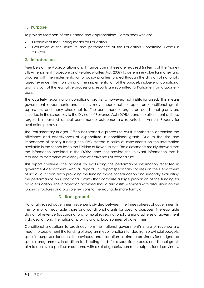### <span id="page-3-0"></span>**1. Purpose**

To provide Members of the Finance and Appropriations Committees with an:

- Overview of the funding model for Education
- Evaluation of the structure and performance of the Education Conditional Grants in 2019/20

### <span id="page-3-1"></span>**2. Introduction**

Members of the Appropriations and Finance committees are required (in terms of the Money Bills Amendment Procedure and Related Matters Act, 2009) to determine value for money and progress with the implementation of policy priorities funded through the division of nationally raised revenue. The monitoring of the implementation of the budget, inclusive of conditional grants is part of the legislative process and reports are submitted to Parliament on a quarterly basis.

The quarterly reporting on conditional grants is, however, not institutionalised. This means government departments and entities may choose not to report on conditional grants separately, and many chose not to. The performance targets on conditional grants are included in the schedules to the Division of Revenue Act (DORA), and the attainment of these targets is measured annual performance outcomes are reported in Annual Reports for evaluation purposes.

The Parliamentary Budget Office has started a process to assist Members to determine the efficiency and effectiveness of expenditure in conditional grants. Due to the size and importance of priority funding, the PBO started a series of assessments on the information available in the schedules to the Division of Revenue Act. The assessments mainly showed that the information provided in the DORA does not provide the relevant information that is required to determine efficiency and effectiveness of expenditure.

This report continues the process by evaluating the performance information reflected in government departments Annual Reports. This report specifically focuses on the Department of Basic Education, firstly providing the funding model for education and secondly evaluating the performance on Conditional Grants that comprise a large proportion of the funding for basic education. The information provided should also assist Members with discussions on the funding structures and possible revisions to the equitable share formula.

### **3. Background**

<span id="page-3-2"></span>Nationally raised government revenue is divided between the three spheres of government in the form of an equitable share and conditional grants for specific purposes. The equitable division of revenue (according to a formula) raised nationally among spheres of government is divided among the national, provincial and local spheres of government.

Conditional allocations to provinces from the national government's share of revenue are meant to supplement the funding of programmes or functions funded from provincial budgets; specific-purpose allocations to provinces; and allocations-in-kind to provinces for designated special programmes. In addition to directing funds for a specific purpose, conditional grants aim to achieve a particular outcome with a set of generic/common outputs for all provinces.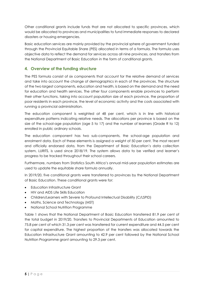Other conditional grants include funds that are not allocated to specific provinces, which would be allocated to provinces and municipalities to fund immediate responses to declared disasters or housing emergencies.

Basic education services are mainly provided by the provincial sphere of government funded through the Provincial Equitable Share (PES) allocated in terms of a formula. The formula uses objective data to reflect the demand for services across all nine provinces, and transfers from the National Department of Basic Education in the form of conditional grants.

### <span id="page-4-0"></span>**4. Overview of the funding structure**

The PES formula consist of six components that account for the relative demand of services and take into account the change of demographics in each of the provinces. The structure of the two largest components, education and health, is based on the demand and the need for education and health services. The other four components enable provinces to perform their other functions, taking into account population size of each province, the proportion of poor residents in each province, the level of economic activity and the costs associated with running a provincial administration.

The education component is weighted at 48 per cent, which is in line with historical expenditure patterns indicating relative needs. The allocations per province is based on the size of the school-age population (age 5 to 17) and the number of learners (Grade R to 12) enrolled in public ordinary schools.

The education component has two sub-components, the school-age population and enrolment data. Each of these elements is assigned a weight of 50 per cent. The most recent and officially endorsed data, from the Department of Basic Education's data collection system, LURITS, is used since 2018/19. The system allows data to be verified and learner's progress to be tracked throughout their school careers.

Furthermore, numbers from Statistics South Africa's annual mid-year population estimates are used to update the equitable share formula annually.

In 2019/20, five conditional grants were transferred to provinces by the National Department of Basic Education. These conditional grants were for:

- Education Infrastructure Grant
- HIV and AIDS Life Skills Education
- Children/Learners with Severe to Profound Intellectual Disability (C/LSPID)
- Maths, Science and Technology (MST)
- National School Nutrition Programme

Table 1 shows that the National Department of Basic Education transferred 81.9 per cent of the total budget in 2019/20. Transfers to Provincial Departments of Education amounted to 75.8 per cent of which 31.3 per cent was transferred for current expenditure and 44.5 per cent for capital expenditure. The highest proportion of the transfers was allocated towards the Education Infrastructure Grant amounting to 42.9 per cent followed by the National School Nutrition Programme grant amounting to 29.3 per cent.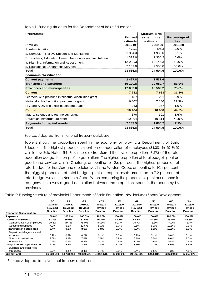Table 1: Funding structure for the Department of Basic Education

| Programme                                                  |             | <b>Medium-term</b> |               |
|------------------------------------------------------------|-------------|--------------------|---------------|
|                                                            | Revised     | expenditure        | Percentage of |
|                                                            | estimate    | estimate           | total         |
| R million                                                  | 2018/19     | 2019/20            | 2019/20       |
| 1. Administration                                          | 472.1       | 496.3              | 2.0%          |
| 2. Curriculum Policy, Support and Monitoring               | 1 854.3     | 1 989.0            | 8.1%          |
| 3. Teachers. Education Human Resources and Institutional I | 1 313.0     | 1 366.2            | 5.6%          |
| 4. Planning, Information and Assessment                    | 12 938.3    | 13 144.3           | 53.6%         |
| 5. Educational Enrichment Services                         | 7 109.0     | 7 508.8            | 30.6%         |
| Total                                                      | 23 686.8    | 24 504.5           | 100.0%        |
| Economic classification                                    |             |                    |               |
| <b>Current payments</b>                                    | 2 4 2 7 . 8 | 2 537.6            |               |
| <b>Transfers and subsidies</b>                             | 19 120.8    | 20 080.7           | 81.9%         |
| <b>Provinces and municipalities</b>                        | 17 689.0    | 18 569.2           | 75.8%         |
| <b>Current</b>                                             | 7 232       | 7 663              | 31.3%         |
| Learners with profound intellectual disabilities grant     | 187         | 221                | 0.9%          |
| National school nutrition programme grant                  | 6802        | 7 186              | 29.3%         |
| HIV and AIDS (life skills education) grant                 | 243         | 257                | 1.0%          |
| <b>Capital</b>                                             | 10 4 64     | 10 906             | 44.5%         |
| Maths, science and technology grant                        | 370         | 391                | 1.6%          |
| Education infrastructure grant                             | 10 094      | 10 514             | 42.9%         |
| <b>Payments for capital assets</b>                         | 2 137.9     | 1886.2             | 7.7%          |
| Total                                                      | 23 686.8    | 24 504.5           | 100.0%        |

Source: Adapted, from National Treasury database

Table 2 shows the proportions spent in the economy by provincial Departments of Basic Education. The highest proportion spent on compensation of employees (84.3%) in 2019/20 was in KwaZulu Natal. This Province also transferred the lowest proportion (3.5%) of the total education budget to non-profit organisations. The highest proportion of total budget spent on goods and services was in Gauteng, amounting to 12.6 per cent. The highest proportion of total budget for transfers and subsidies was in the Western Cape, amounting to 10.1 per cent. The biggest proportion of total budget spent on capital assets amounted to 7.2 per cent of total budget was in the Northern Cape. When comparing the proportions spent per economic category, there was a good correlation between the proportions spent in the economy by provinces.

Table 2: Funding structure of provincial Departments of Basic Education (NW: includes Sports Development)

|                                | EC.             | <b>FS</b>       | GT              | <b>KZN</b>      | <b>LIM</b>      | <b>MP</b>       | <b>NC</b>       | <b>WC</b>       | <b>NW</b>       |
|--------------------------------|-----------------|-----------------|-----------------|-----------------|-----------------|-----------------|-----------------|-----------------|-----------------|
|                                | 2019/20         | 2019/20         | 2019/20         | 2019/20         | 2019/20         | 2019/20         | 2019/20         | 2019/20         | 2019/20         |
|                                | Revised         | Revised         | <b>Revised</b>  | <b>Revised</b>  | Revised         | <b>Revised</b>  | <b>Revised</b>  | <b>Revised</b>  | <b>Revised</b>  |
| <b>Economic Classification</b> | <b>Baseline</b> | <b>Baseline</b> | <b>Baseline</b> | <b>Baseline</b> | <b>Baseline</b> | <b>Baseline</b> | <b>Baseline</b> | <b>Baseline</b> | <b>Baseline</b> |
| <b>Payments</b>                | 100.0%          | 100.0%          | 100.0%          | 100.0%          | 100.0%          | 100.0%          | 100.0%          | 100.0%          | 100.0%          |
| <b>Current Payments</b>        | 87.7%           | 85.9%           | 87.6%           | 92.4%           | 89.1%           | 88.8%           | 84.6%           | 85.4%           | 86.3%           |
| Compensation of employees      | 79.8%           | 79.7%           | 75.0%           | 84.3%           | 80.4%           | 79.7%           | 76.3%           | 74.9%           | 78.4%           |
| Goods and services             | 7.9%            | 6.3%            | 12.6%           | 8.1%            | 8.7%            | 9.1%            | 8.2%            | 10.5%           | 7.9%            |
| <b>Transfers and subsidies</b> | 8.4%            | 9.5%            | 8.6%            | 3.8%            | 7.7%            | 7.7%            | 8.2%            | 10.1%           | 8.3%            |
| Departmental agencies and      |                 |                 |                 |                 |                 |                 |                 |                 |                 |
| accounts                       | 0.2%            | 0.2%            | 0.2%            | 0.1%            | 0.3%            | 0.2%            | 0.1%            | $0.0\%$         | 0.1%            |
| Non-profit institutions        | 7.6%            | 9.1%            | 7.6%            | 3.5%            | 6.9%            | 6.1%            | 7.5%            | 9.6%            | 7.7%            |
| Households                     | 0.6%            | 0.1%            | 0.8%            | 0.2%            | 0.6%            | 1.4%            | 0.6%            | 0.4%            | 0.4%            |
| Payments for capital assets    | 4.0%            | 4.6%            | 3.8%            | 3.8%            | 3.2%            | 3.5%            | 7.2%            | 4.5%            | 5.4%            |
| Buildings and other fixed      |                 |                 |                 |                 |                 |                 |                 |                 |                 |
| structures                     | 3.7%            | 4.4%            | 3.4%            | 3.7%            | 3.0%            | 3.4%            | 6.6%            | 4.3%            | 4.8%            |
| <b>Grand Total</b>             | 36 328 510      | 14 733 214      | 49 809 551      | 54 021 515      | 32 291 008      | 21 862 325      | 6905811         | 23 669 089      | 17 253 879      |

Source: Adapted, from National Treasury database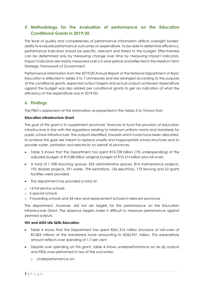## <span id="page-6-0"></span>**5. Methodology for the evaluation of performance on the Education Conditional Grants in 2019/20**

The level of quality and completeness of performance information affects oversight bodies' ability to evaluate performance outcomes on expenditure. To be able to determine efficiency, performance indicators should be specific, relevant and linked to the budget. Effectiveness can be determined only by measuring change over time by measuring impact indicators. Impact indicators are mainly measured over a 5-year period and reflected in the Medium Term Strategic Framework of Government.

Performance information from the 2019/20 Annual Report of the National Department of Basic Education is reflected in tables 3 to 7 (Annexure) and are arranged according to the purpose of the conditional grants, expected output targets and actual outputs achieved. Expenditure against the budget was also added per conditional grants to get an indication of what the efficiency of the expenditure was in 2019/20.

### <span id="page-6-1"></span>**6. Findings**

The PBO's assessment of the information as presented in the tables 3 to 7shows that:

#### **Education Infrastructure Grant**

The goal of this grant is to supplement provinces' finances to fund the provision of education infrastructure in line with the regulations relating to minimum uniform norms and standards for public school infrastructure. The outputs identified, towards which funds have been allocated, to achieve this goal are meant to replace unsafe and inappropriate school structures and to provide water, sanitation and electricity on behalf of provinces.

- Table 3 shows that the Department has spent R10.728 billion (1% underspending) of the adjusted budget of R10.88 billion (original budget of R10.514 billion plus roll-over)
- A total of 1 928 teaching spaces, 352 administrative spaces, 814 maintenance projects, 192 disaster projects, 591 water, 794 sanitations, 156 electricity, 173 fencing and 22 sports facilities were provided
- The department has provided a total of:
- o 14 full-service schools
- o 5 special schools
- o 9 boarding schools and 43 new and replacement schools in relevant provinces

The department, however, did not set targets for the performance on the Education Infrastructure Grant. The absence targets make it difficult to measure performance against planned outputs.

#### **HIV and AIDS Life Skills Education**

- Table 4 shows that the Department has spent R261.316 million (inclusive of roll-overs of R2.403 million) of the transferred funds amounting to R256.951 million. This expenditure amount reflects over spending of 1.7 per cent
- Despite over spending on this grant, table 4 shows underperformance on six (6) outputs and PEDs over-performed in two of the outcomes:
	- o Underperformance on: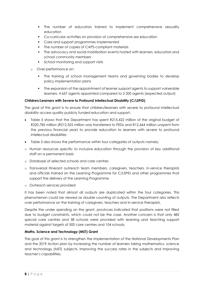- The number of educators trained to implement comprehensive sexuality education
- Co-curricular activities on provision of comprehensive sex education
- Care and support programmes implemented
- The number of copies of CAPS-compliant materials
- The advocacy and social mobilisation events hosted with learners, educators and school community members
- School monitoring and support visits
- o Over-performance on:
	- The training of school management teams and governing bodies to develop policy implementation plans
	- The expansion of the appointment of learner support agents to support vulnerable learners. 4 657 agents appointed compared to 3 200 agents (expected output)

#### **Children/Learners with Severe to Profound Intellectual Disability (C/LSPID)**

The goal of this grant is to ensure that children/learners with severe to profound intellectual disability access quality publicly funded education and support.

- Table 5 shows that the Department has spent R215.422 million of the original budget of R220.785 million (R212.325 million was transferred to PEDs and R12.664 million unspent from the previous financial year) to provide education to learners with severe to profound intellectual disabilities
- Table 5 also shows the performance within four categories of outputs namely:
- o Human resources specific to inclusive education through the provision of key additional staff on a permanent basis
- o Database of selected schools and care centres
- o Transversal itinerant outreach team members, caregivers, teachers, in-service therapists and officials trained on the Learning Programme for C/LSPID and other programmes that support the delivery of the Learning Programme
- o Outreach services provided

It has been noted that almost all outputs are duplicated within the four categories. This phenomenon could be viewed as double counting of outputs. The Department also reflects over performance on the training of caregivers, teachers and in-service therapists.

Despite the under spending on the grant, provinces indicated that positions were not filled due to budget constraints, which could not be the case. Another concern is that only 482 special care centres and 58 schools were provided with learning and teaching support material against targets of 500 care centres and 104 schools.

#### **Maths, Science and Technology (MST) Grant**

The goal of this grant is to strengthen the implementation of the National Developments Plan and the 2019 Action plan by increasing the number of learners taking mathematics, science and technology (MST) subjects, improving the success rates in the subjects and improving teacher's capabilities.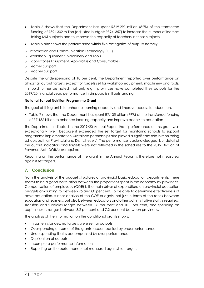- Table 6 shows that the Department has spent R319.291 million (82%) of the transferred funding of R391.302 million (adjusted budget: R394. 357) to increase the number of learners taking MST subjects and to improve the capacity of teachers in these subjects.
- Table 6 also shows the performance within five categories of outputs namely:
- o Information and Communication Technology (ICT)
- o Workshop Equipment, Machinery and Tools
- o Laboratories Equipment, Apparatus and Consumables
- o Learner Support
- o Teacher Support

Despite the underspending of 18 per cent, the Department reported over performance on almost all output targets except for targets set for workshop equipment, machinery and tools. It should further be noted that only eight provinces have completed their outputs for the 2019/20 financial year, performance in Limpopo is still outstanding.

#### **National School Nutrition Programme Grant**

The goal of this grant is to enhance learning capacity and improve access to education.

• Table 7 shows that the Department has spent R7.135 billion (99%) of the transferred funding of R7.186 billion to enhance learning capacity and improve access to education

The Department indicated in the 2019/20 Annual Report that "performance on this grant was exceptionally 'well' because it exceeded the set target for monitoring schools to support programme implementation. Sustained partnerships also played a significant role in monitoring schools both at Provincial and District levels". The performance is acknowledged, but detail of the output indicators and targets were not reflected in the schedules to the 2019 Division of Revenue Act (DORA) as required.

Reporting on the performance of the grant in the Annual Report is therefore not measured against set targets.

### <span id="page-8-0"></span>**7. Conclusion**

From the analysis of the budget structures of provincial basic education departments, there seems to be a good correlation between the proportions spent in the economy by provinces. Compensation of employees (COE) is the main driver of expenditure on provincial education budgets amounting to between 75 and 80 per cent. To be able to determine effectiveness of basic education, further analysis of the COE budgets, not just in terms of the ratios between educators and learners, but also between educators and other administrative staff, is required. Transfers and subsidies ranges between 3.8 per cent and 10.1 per cent, and spending on capital assets ranges between 3.2 per cent and 7.2 per cent between provinces.

The analysis of the information on the conditional grants shows:

- In some instances, no targets were set for outputs
- Overspending on some of the grants, accompanied by underperformance
- Underspending that is accompanied by over performance
- Duplication of outputs
- Incomplete performance information
- Reporting on the performance not measured against set targets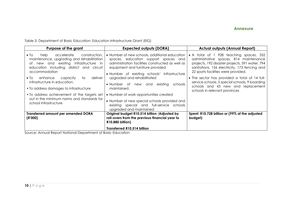Table 3: Department of Basic Education: Education Infrastructure Grant (EIG)

<span id="page-9-0"></span>

| Purpose of the grant                                                                                                                                                                                                                                                                                                                                                                          | <b>Expected outputs (DORA)</b>                                                                                                                                                                                                                                                                                                                                     | <b>Actual outputs (Annual Report)</b>                                                                                                                                                                                                                                                                                                                                                                  |
|-----------------------------------------------------------------------------------------------------------------------------------------------------------------------------------------------------------------------------------------------------------------------------------------------------------------------------------------------------------------------------------------------|--------------------------------------------------------------------------------------------------------------------------------------------------------------------------------------------------------------------------------------------------------------------------------------------------------------------------------------------------------------------|--------------------------------------------------------------------------------------------------------------------------------------------------------------------------------------------------------------------------------------------------------------------------------------------------------------------------------------------------------------------------------------------------------|
| construction,<br>accelerate<br>$\bullet$ To<br>help<br>maintenance, upgrading and rehabilitation<br>new and existing infrastructure<br>in<br>ot<br>education including district and circuit<br>accommodation<br>capacity<br>$\bullet$ To<br>deliver<br>enhance<br>to<br>infrastructure in education.<br>• To address damages to infrastructure<br>• To address achievement of the targets set | • Number of new schools, additional education<br>spaces, education support spaces and<br>administration facilities constructed as well as<br>equipment and furniture provided<br>• Number of existing schools'<br>infrastructure<br>upgraded and rehabilitated<br>• Number of new and existing<br>schools<br>maintained.<br>• Number of work opportunities created | • A total of 1 928 teaching spaces, 352<br>administrative spaces, 814 maintenance<br>projects, 192 disaster projects, 591 water, 794<br>sanitations, 156 electricity, 173 fencing and<br>22 sports facilities were provided.<br>• The sector has provided a total of 14 full-<br>service schools, 5 special schools, 9 boarding<br>schools and 43 new and replacement<br>schools in relevant provinces |
| out in the minimum norms and standards for<br>school infrastructure                                                                                                                                                                                                                                                                                                                           | • Number of new special schools provided and<br>existing special and full-service schools<br>upgraded and maintained                                                                                                                                                                                                                                               |                                                                                                                                                                                                                                                                                                                                                                                                        |
| <b>Transferred amount per amended DORA</b><br>(R'000)                                                                                                                                                                                                                                                                                                                                         | Original budget R10.514 billion (Adjusted by<br>roll-overs from the previous financial year to<br>R10.880 billion)                                                                                                                                                                                                                                                 | Spent: R10.728 billion or (99% of the adjusted<br>budget)                                                                                                                                                                                                                                                                                                                                              |
|                                                                                                                                                                                                                                                                                                                                                                                               | <b>Transferred R10.514 billion</b>                                                                                                                                                                                                                                                                                                                                 |                                                                                                                                                                                                                                                                                                                                                                                                        |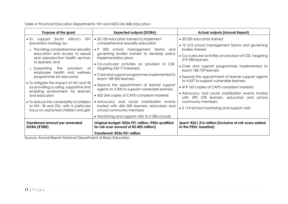Table 4: Provincial Education Departments: HIV and AIDS Life Skills Education

| Purpose of the grant                                                                                                 | <b>Expected outputs (DORA)</b>                                                                 | <b>Actual outputs (Annual Report)</b>                                                                                         |  |
|----------------------------------------------------------------------------------------------------------------------|------------------------------------------------------------------------------------------------|-------------------------------------------------------------------------------------------------------------------------------|--|
| support South Africa's<br>$\bullet$ To<br>HIV<br>prevention strategy by:                                             | • 20 150 educators trained to implement<br>comprehensive sexuality education                   | • 20 032 educators trained                                                                                                    |  |
| Providing comprehensive sexuality<br>education and access to sexual                                                  | • 9 000 school management teams<br>and<br>governing bodies trained to develop policy           | • 10 613 school management teams and governing<br>bodies trained<br>• Co-curricular activities on provision of CSE, targeting |  |
| and reproductive health services<br>to learners; and                                                                 | implementation plans                                                                           | 219 398 learners                                                                                                              |  |
| o Supporting the provision<br>ot                                                                                     | • Co-curricular activities on provision of CSE,<br>targeting 224 715 learners.                 | • Care and support programmes implemented to<br>reach 186 729 learners                                                        |  |
| employee health and wellness<br>programmes for educators                                                             | • Care and support programmes implemented to<br>reach 189 000 learners.                        | • Expand the appointment of learner support agents<br>to 4 657 to support vulnerable learners.                                |  |
| • To mitigate the impact of HIV and TB<br>by providing a caring, supportive and<br>enabling environment for learners | • Expand the appointment of learner support<br>agents to 3 200 to support vulnerable learners. | • 419 163 copies of CAPS-compliant material                                                                                   |  |
| and educators                                                                                                        | • 422 264 copies of CAPS-compliant material                                                    | • Advocacy and social mobilisation events hosted<br>with 390 578 learners, educators and school                               |  |
| • To reduce the vulnerability of children                                                                            | • Advocacy and social mobilisation events                                                      | community members.                                                                                                            |  |
| to HIV, TB and STIs, with a particular<br>focus on orphaned children and girls                                       | hosted with 424 000 learners, educators and<br>school community members                        | • 5174 School monitoring and support visits                                                                                   |  |
|                                                                                                                      | • Monitoring and support visits to 5 286 schools                                               |                                                                                                                               |  |
| <b>Transferred amount per amended</b><br><b>DORA (R'000)</b>                                                         | Original budget: R256.951 million (PEDs qualified<br>for roll-over amount of R2.403 million)   | Spent: R261.316 million (inclusive of roll-overs added<br>to the PEDs' baseline)                                              |  |
|                                                                                                                      | Transferred: R256.951 million                                                                  |                                                                                                                               |  |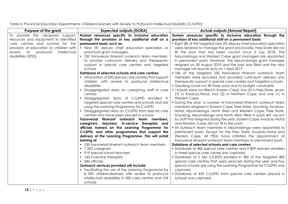Table 5: Provincial Education Departments: Children/Learners with Severe to Profound Intellectual Disability (C/LSPID)

| Purpose of the grant                     | <b>Expected outputs (DORA)</b>                                                                         | <b>Actual outputs (Annual Report)</b>                                                                                                        |
|------------------------------------------|--------------------------------------------------------------------------------------------------------|----------------------------------------------------------------------------------------------------------------------------------------------|
| To provide the necessary support,        | Human resources specific to inclusive education                                                        | Human resources specific to inclusive education through the                                                                                  |
| resources and equipment to identified    | through the provision of key additional staff on a                                                     | provision of key additional staff on a permanent basis:                                                                                      |
| care centres and schools for the         | permanent basis, such as:                                                                              | • Eight (8) of the targeted nine (9) deputy chief education specialists                                                                      |
| provision of education to children with  | • Nine (9) deputy chief education specialists as                                                       | were retained to manage the grant provincially. Free State did not                                                                           |
| to<br>profound<br>intellectual<br>severe | provincial grant managers.                                                                             | fill the post that has been vacant since 2 July 2018. The                                                                                    |
| disabilities (SPID)                      | • 230 transversal itinerant outreach team members,                                                     | Mpumalanga and Western Cape grant managers are appointed                                                                                     |
|                                          | to provide curriculum delivery and therapeutic                                                         | in permanent posts. However, the Mpumalanga grant manager                                                                                    |
|                                          | support in special care centres and targeted                                                           | resigned on 30 August 2019 and the post was filled and the new                                                                               |
|                                          | schools                                                                                                | manager will resume duty on 1 April 2019                                                                                                     |
|                                          | Database of selected schools and care centres:                                                         | • 186 of the targeted 230 transversal itinerant outreach team                                                                                |
|                                          | • Information of 500 special care centres that support                                                 | members were recruited and provided curriculum delivery and                                                                                  |
|                                          | children with severe to profound intellectual<br>disabilities                                          | therapeutic support in special care centres and targeted schools                                                                             |
|                                          | Disaggregated data on caregiving staff in care                                                         | • Gauteng could not fill three posts due to budget constraints.<br>• 14 posts were not filled in Eastern Cape, five (5) in Free State, seven |
|                                          | centres                                                                                                | (7) in KwaZulu-Natal, two (2) in Northern Cape and one (1) in                                                                                |
|                                          | Disaggregated data of C/LSPID enrolled in                                                              | <b>Western Cape</b>                                                                                                                          |
|                                          | targeted special care centres and schools and are                                                      | • During the year, a number of transversal itinerant outreach team                                                                           |
|                                          | using the Learning Programme for C/LSPID                                                               | members resigned in Eastern Cape, Free State, Gauteng, KwaZulu-                                                                              |
|                                          | Disaggregated data on C/LSPID from special care                                                        | Natal, Mpumalanga, North West and Western Cape. Free State,                                                                                  |
|                                          | centres who have been placed in schools                                                                | Gauteng, Mpumalanga and North West filled in posts left vacant                                                                               |
|                                          | Transversal itinerant outreach team members,                                                           | by staff that resigned during the year, Eastern Cape, KwaZulu-Natal                                                                          |
|                                          | caregivers, teachers, in-service therapists and                                                        | and Western Cape did not fill in the posts                                                                                                   |
|                                          | officials trained on the Learning Programme for                                                        | • All outreach team members in Mpumalanga were appointed to                                                                                  |
|                                          | C/LSPID, and other programmes that support the                                                         | permanent posts. Except for the Free State, KwaZulu-Natal and                                                                                |
|                                          | delivery of the Learning Programme. This will entail                                                   | Western Cape, all PEDs have initiated the appointment of                                                                                     |
|                                          | training of:                                                                                           | transversal itinerant outreach team members to permanent posts                                                                               |
|                                          | • 230 transversal itinerant outreach team members                                                      | Database of selected schools and care centres:                                                                                               |
|                                          | • 1 500 caregivers                                                                                     | • Database of 482 special care centres and 9 809 learners enrolled                                                                           |
|                                          | • 919 special school teachers                                                                          | in these special care centre was captured                                                                                                    |
|                                          | • 160 in-service therapists                                                                            | • Database of 5 365 C/LSPID enrolled in 382 of the targeted 482                                                                              |
|                                          | • 585 officials                                                                                        | special care centres that were serviced during the year and five                                                                             |
|                                          | Outreach services provided will include:                                                               | special schools are using the Learning Programme for C/LSPID was                                                                             |
|                                          | • Facilitating the use of the Learning Programme by<br>8 000 children/learners with severe to profound | captured                                                                                                                                     |
|                                          | intellectual disabilities in 500 care centres and 104                                                  | • Database of 453 C/LSPID from special care centres placed in<br>schools was captured                                                        |
|                                          | schools                                                                                                |                                                                                                                                              |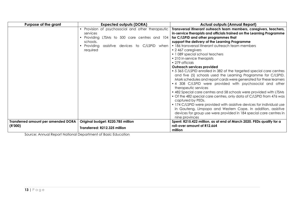| Purpose of the grant                       | <b>Expected outputs (DORA)</b>                   | <b>Actual outputs (Annual Report)</b>                                                     |
|--------------------------------------------|--------------------------------------------------|-------------------------------------------------------------------------------------------|
|                                            | Provision of psychosocial and other therapeutic  | Transversal itinerant outreach team members, caregivers, teachers,                        |
|                                            | services                                         | in-service therapists and officials trained on the Learning Programme                     |
|                                            | • Providing LTSMs to 500 care centres and 104    | for C/LSPID and other programmes that                                                     |
|                                            | schools.                                         | support the delivery of the Learning Programme                                            |
|                                            | • Providing<br>assistive devices to C/LSPID when | • 186 transversal itinerant outreach team members                                         |
|                                            | required                                         | • 2467 caregivers                                                                         |
|                                            |                                                  | • 1089 special school teachers                                                            |
|                                            |                                                  | • 210 in-service therapists                                                               |
|                                            |                                                  | • 279 officials                                                                           |
|                                            |                                                  | Outreach services provided                                                                |
|                                            |                                                  | • 5 365 C/LSPID enrolled in 382 of the targeted special care centres                      |
|                                            |                                                  | and five (5) schools used the Learning Programme for C/LSPID.                             |
|                                            |                                                  | Mark schedules and report cards were generated for these learners                         |
|                                            |                                                  | • 4 308 C/LSPID were provided with psychosocial and other                                 |
|                                            |                                                  | therapeutic services                                                                      |
|                                            |                                                  | • 482 Special care centres and 58 schools were provided with LTSMs                        |
|                                            |                                                  | • Of the 482 special care centres, only data of C/LSPID from 476 was<br>captured by PEDs. |
|                                            |                                                  | • 174 C/LSPID were provided with assistive devices for individual use                     |
|                                            |                                                  | in Gauteng, Limpopo and Western Cape. In addition, assistive                              |
|                                            |                                                  | devices for group use were provided in 184 special care centres in                        |
|                                            |                                                  | nine provinces                                                                            |
| <b>Transferred amount per amended DORA</b> | Original budget: R220.785 million                | Spent: R215.422 million, as at end of March 2020. PEDs qualify for a                      |
| (R'000)                                    | Transferred: R212.325 million                    | roll-over amount of R12.664                                                               |
|                                            |                                                  | million                                                                                   |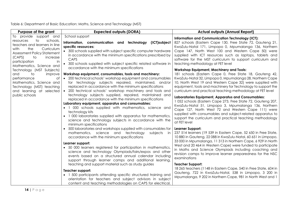| Purpose of the grant                                                                                                                                                                                                              | <b>Expected outputs (DORA)</b>                                                                                                                                                                                                                                                                                                                                                                                                          | <b>Actual outputs (Annual Report)</b>                                                                                                                                                                                                                                                                                                                                                                                        |
|-----------------------------------------------------------------------------------------------------------------------------------------------------------------------------------------------------------------------------------|-----------------------------------------------------------------------------------------------------------------------------------------------------------------------------------------------------------------------------------------------------------------------------------------------------------------------------------------------------------------------------------------------------------------------------------------|------------------------------------------------------------------------------------------------------------------------------------------------------------------------------------------------------------------------------------------------------------------------------------------------------------------------------------------------------------------------------------------------------------------------------|
| To provide support and<br>to<br>schools,<br>resources<br>teachers and learners in line<br>with<br>the<br>Curriculum<br>Assessment Policy Statement<br>(CAPS)<br>to<br>increase<br>participation<br>in<br>Mathematics, Science and | School support<br>Information, communication and technology<br>(ICT)subject<br>specific resources:<br>• 300 schools supplied with subject specific computer hardware<br>in accordance with the minimum specifications prescribed by<br>CAPS<br>• 300 schools supplied with subject specific related software in                                                                                                                         | <b>Information and Communication Technology (ICT):</b><br>827 schools (Eastern Cape 130, Free State 72, Gauteng 21,<br>KwaZulu-Natal 171, Limpopo 0, Mpumalanga 136, Northern<br>Cape 147, North West 100 and Western Cape 50) were<br>supplied with ICT resources such as laptops, tablets and<br>software for the MST curriculum to support curriculum and<br>teaching methodology at FET level                            |
| Technology (MST Subjects)<br>and<br>to<br>improve<br>performance<br>Оf<br>Mathematics, Science and<br>Technology (MST) teaching<br>and learning at selected                                                                       | accordance with the minimum specifications<br>Workshop equipment, consumables, tools and machinery:<br>• 200 technical schools' workshop equipment and consumables<br>for technology subjects repaired, maintained, and/or<br>replaced in accordance with the minimum specifications<br>• 200 technical schools' workshop machinery and tools and                                                                                       | <b>Workshop Equipment, Machinery and Tools:</b><br>181 schools (Eastern Cape 0, Free State 18, Gauteng 42,<br>KwaZulu-Natal 32, Limpopo 0, Mpumalanga 28, Northern Cape<br>10, North West 19 and Western Cape 32) were supplied with<br>equipment, tools and machinery for Technology to support the<br>curriculum and practical teaching methodology at FET level                                                           |
| public schools                                                                                                                                                                                                                    | technology subjects supplied, repaired, maintained and<br>replaced in accordance with the minimum specifications<br>Laboratory equipment, apparatus and consumables:<br>• 1 000 schools supplied with mathematics, science and<br>technology kits<br>• 1 000 laboratories supplied with apparatus for mathematics,<br>science and technology subjects in accordance with the<br>minimum specifications                                  | Laboratories Equipment, Apparatus and Consumables:<br>1 052 schools (Eastern Cape 273, Free State 72, Gauteng 207,<br>KwaZulu-Natal 51, Limpopo 3, Mpumalanga 136, Northern<br>Cape 127, North West 72 and Western Cape 111) were<br>supplied with consumables and subject-related apparatus to<br>support the curriculum and practical teaching methodology<br>at FET level                                                 |
|                                                                                                                                                                                                                                   | 500 laboratories and workshops supplied with consumables for<br>mathematics, science and technology<br>subjects<br>in<br>accordance with the minimum specifications<br>Learner support:<br>• 50 000 learners registered for participation in mathematics,<br>science and technology Olympiads/fairs/expos and other<br>events based on a structured annual calendar including<br>support through learner camps and additional learning, | Learner Support:<br>237 514 learners (19 539 in Eastern Cape, 52 650 in Free State,<br>10 880 in Gauteng, 22 088 in KwaZulu-Natal, 60 651 in Limpopo,<br>33 000 in Mpumalanga, 11 313 in Northern Cape, 6 929 in North<br>West and 20 464 in Western Cape) were funded to participate<br>in Maths and Science Olympiads including coaching and<br>revision camps to improve learner preparedness for the NSC<br>examinations |
|                                                                                                                                                                                                                                   | teaching and support material such as study guides<br>Teacher support:<br>• 1 500 participants attending specific structured training and<br>orientation for teachers and subject advisors in subject<br>content and teaching methodologies on CAPS for electrical,                                                                                                                                                                     | <b>Teacher Support:</b><br>18 265 teachers (1148 in Eastern Cape, 540 in Free State, 604 in<br>Gauteng, 722 in KwaZulu-Natal, 538 in Limpopo, 3 200 in<br>Mpumalanga, 9 202 in Northern Cape, 981 in North West and 1                                                                                                                                                                                                        |

Table 6: Department of Basic Education: Maths, Science and Technology (MST)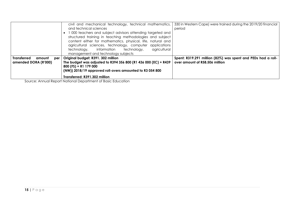|                                                             | and technical sciences<br>000 teachers and subject advisors attending targeted and<br>structured training in teaching methodologies and subject<br>content either for mathematics, physical, life, natural and<br>agricultural sciences, technology, computer applications<br>technology, information technology,<br>agricultural | civil and mechanical technology, technical mathematics,   330 in Western Cape) were trained during the 2019/20 financial<br>period |
|-------------------------------------------------------------|-----------------------------------------------------------------------------------------------------------------------------------------------------------------------------------------------------------------------------------------------------------------------------------------------------------------------------------|------------------------------------------------------------------------------------------------------------------------------------|
| <b>Transferred</b><br>per<br>amount<br>amended DORA (R'000) | management and technology subjects<br>Original budget: R391. 302 million<br>The budget was adjusted to R394 356 800 (R1 436 000 (EC) + R439<br>$800$ (FS) + R1 179 000<br>(NW)) 2018/19 approved roll-overs amounted to R3 054 800                                                                                                | Spent: R319.291 million (82%) was spent and PEDs had a roll-<br>over amount of R58.506 million                                     |
|                                                             | Transferred: R391.302 million                                                                                                                                                                                                                                                                                                     |                                                                                                                                    |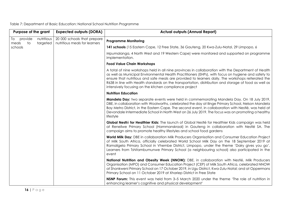| Table 7: Department of Basic Education: National School Nutrition Programme |  |  |  |  |  |  |  |
|-----------------------------------------------------------------------------|--|--|--|--|--|--|--|
|-----------------------------------------------------------------------------|--|--|--|--|--|--|--|

| Purpose of the grant                                   | <b>Expected outputs (DORA)</b>                               | <b>Actual outputs (Annual Report)</b>                                                                                                                                                                                                                                                                                                                                                                                                                                               |
|--------------------------------------------------------|--------------------------------------------------------------|-------------------------------------------------------------------------------------------------------------------------------------------------------------------------------------------------------------------------------------------------------------------------------------------------------------------------------------------------------------------------------------------------------------------------------------------------------------------------------------|
| nutritious<br>provide<br>To<br>targeted<br>to<br>meals | 20 000 schools that prepare<br>nutritious meals for learners | <b>Programme Monitoring</b>                                                                                                                                                                                                                                                                                                                                                                                                                                                         |
| schools                                                |                                                              | 141 schools (15 Eastern Cape, 12 Free State, 36 Gauteng, 20 Kwa-Zulu-Natal, 29 Limpopo, 6                                                                                                                                                                                                                                                                                                                                                                                           |
|                                                        |                                                              | Mpumalanga, 4 North West and 19 Western Cape) were monitored and supported on programme<br>implementation.                                                                                                                                                                                                                                                                                                                                                                          |
|                                                        |                                                              | <b>Food Value Chain Workshops</b>                                                                                                                                                                                                                                                                                                                                                                                                                                                   |
|                                                        |                                                              | A total of nine workshops held in all nine provinces in collaboration with the Department of Health<br>as well as Municipal Environmental Health Practitioners (EHPs), with focus on hygiene and safety to<br>ensure that nutritious and safe meals are provided to learners daily. The workshops reiterated the<br>R638 in line with Health standards on the transportation, distribution and storage of food as well as<br>intensively focusing on the kitchen compliance project |
|                                                        |                                                              | <b>Nutrition Education</b>                                                                                                                                                                                                                                                                                                                                                                                                                                                          |
|                                                        |                                                              | Mandela Day: two separate events were held in commemorating Mandela Day. On 18 July 2019,<br>DBE, in collaboration with Woolworths, celebrated the day at Ilinge Primary School, Nelson Mandela<br>Bay Metro District, in the Eastern Cape. The second event, in collaboration with Nestlé, was held at<br>Devondale Intermediate School in North West on 26 July 2019. The focus was on promoting a healthy<br>lifestyle                                                           |
|                                                        |                                                              | Global Nestlé for Healthier Kids: The launch of Global Nestlé for Healthier Kids campaign was held<br>at Reneilwe Primary School (Hammanskraal) in Gauteng in collaboration with Nestlé SA. The<br>campaign aims to promote healthy lifestyles and school food gardens                                                                                                                                                                                                              |
|                                                        |                                                              | World Milk Day: DBE in collaboration Milk Producers Organisation and Consumer Education Project<br>of Milk South Africa, officially celebrated World School Milk Day on the 18 September 2019 at<br>Ramaligela Primary School in Vhembe District, Limpopo, under the theme 'Dairy gives you go'.<br>Learners from Tshitambumunwe Primary School (a neighbouring school) also participated in the<br>event                                                                           |
|                                                        |                                                              | National Nutrition and Obesity Week (NNOW): DBE, in collaboration with Nestlé, Milk Producers<br>Organisation (MPO) and Consumer Education Project (CEP) of Milk South Africa, celebrated NNOW<br>at Shonkweni Primary School on 17 October 2019, in Ugu District, Kwa-Zulu-Natal; and at Oppermans<br>Primary School on 11 October 2019 at Xhariep District in Free State                                                                                                          |
|                                                        |                                                              | NSNP Forum: This event was held from 3-5 March 2020 under the theme 'The role of nutrition in<br>enhancing learner's cognitive and physical development'                                                                                                                                                                                                                                                                                                                            |